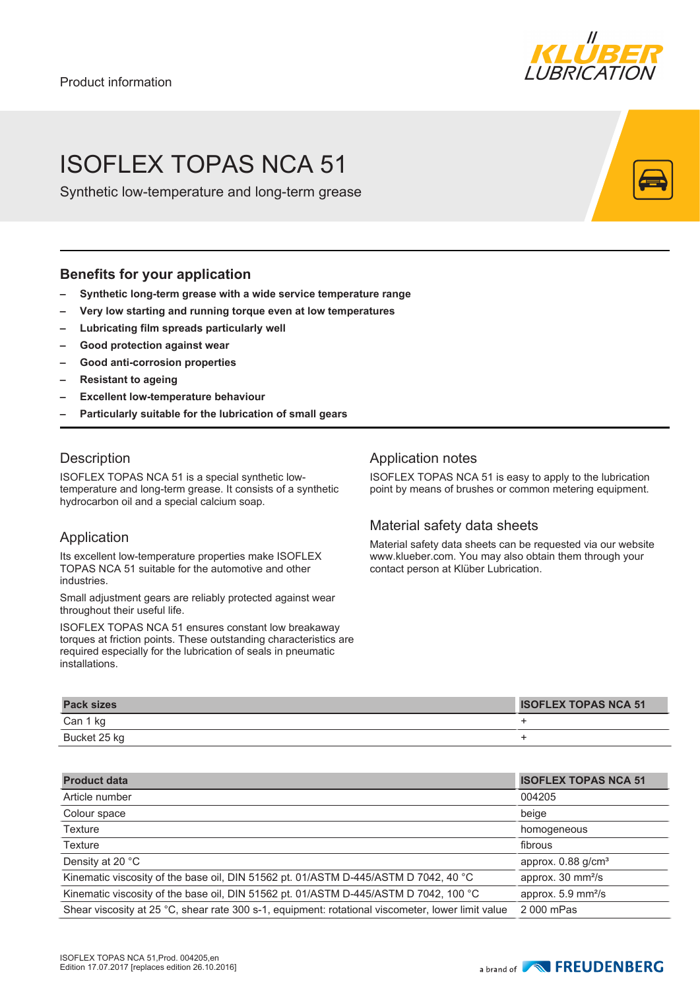

## ISOFLEX TOPAS NCA 51

Synthetic low-temperature and long-term grease

## **Benefits for your application**

- **– Synthetic long-term grease with a wide service temperature range**
- **– Very low starting and running torque even at low temperatures**
- **– Lubricating film spreads particularly well**
- **– Good protection against wear**
- **– Good anti-corrosion properties**
- **– Resistant to ageing**
- **– Excellent low-temperature behaviour**
- **– Particularly suitable for the lubrication of small gears**

## **Description**

ISOFLEX TOPAS NCA 51 is a special synthetic lowtemperature and long-term grease. It consists of a synthetic hydrocarbon oil and a special calcium soap.

## Application

Its excellent low-temperature properties make ISOFLEX TOPAS NCA 51 suitable for the automotive and other industries.

Small adjustment gears are reliably protected against wear throughout their useful life.

ISOFLEX TOPAS NCA 51 ensures constant low breakaway torques at friction points. These outstanding characteristics are required especially for the lubrication of seals in pneumatic installations.

## Application notes

ISOFLEX TOPAS NCA 51 is easy to apply to the lubrication point by means of brushes or common metering equipment.

## Material safety data sheets

Material safety data sheets can be requested via our website www.klueber.com. You may also obtain them through your contact person at Klüber Lubrication.

| <b>Pack sizes</b> | <b>ISOFLEX TOPAS NCA 51</b> |
|-------------------|-----------------------------|
| Can 1 kg          |                             |
| Bucket 25 kg      |                             |

| <b>Product data</b>                                                                               | <b>ISOFLEX TOPAS NCA 51</b>         |
|---------------------------------------------------------------------------------------------------|-------------------------------------|
| Article number                                                                                    | 004205                              |
| Colour space                                                                                      | beige                               |
| Texture                                                                                           | homogeneous                         |
| <b>Texture</b>                                                                                    | fibrous                             |
| Density at 20 °C                                                                                  | approx. $0.88$ g/cm <sup>3</sup>    |
| Kinematic viscosity of the base oil, DIN 51562 pt. 01/ASTM D-445/ASTM D 7042, 40 °C               | approx. 30 mm <sup>2</sup> /s       |
| Kinematic viscosity of the base oil, DIN 51562 pt. 01/ASTM D-445/ASTM D 7042, 100 °C              | approx. $5.9 \text{ mm}^2\text{/s}$ |
| Shear viscosity at 25 °C, shear rate 300 s-1, equipment: rotational viscometer, lower limit value | 2 000 mPas                          |